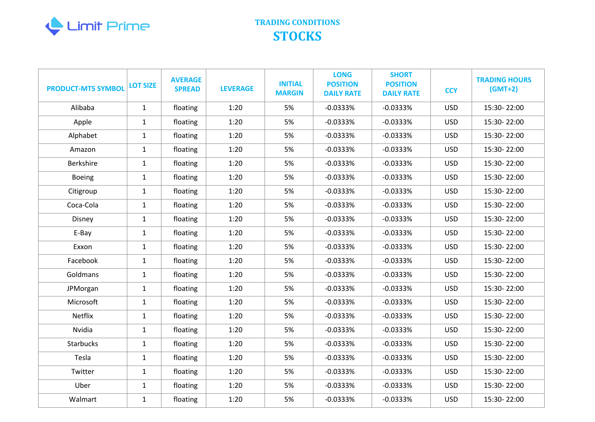

| <b>PRODUCT-MT5 SYMBOL</b> | <b>LOT SIZE</b> | <b>AVERAGE</b><br><b>SPREAD</b> | <b>LEVERAGE</b> | <b>INITIAL</b><br><b>MARGIN</b> | <b>LONG</b><br><b>POSITION</b><br><b>DAILY RATE</b> | <b>SHORT</b><br><b>POSITION</b><br><b>DAILY RATE</b> | <b>CCY</b> | <b>TRADING HOURS</b><br>$(GMT+2)$ |
|---------------------------|-----------------|---------------------------------|-----------------|---------------------------------|-----------------------------------------------------|------------------------------------------------------|------------|-----------------------------------|
| Alibaba                   | $\mathbf{1}$    | floating                        | 1:20            | 5%                              | $-0.0333%$                                          | $-0.0333%$                                           | <b>USD</b> | 15:30-22:00                       |
| Apple                     | $\mathbf{1}$    | floating                        | 1:20            | 5%                              | $-0.0333%$                                          | $-0.0333%$                                           | <b>USD</b> | 15:30-22:00                       |
| Alphabet                  | $\mathbf{1}$    | floating                        | 1:20            | 5%                              | $-0.0333%$                                          | $-0.0333%$                                           | <b>USD</b> | 15:30-22:00                       |
| Amazon                    | $\mathbf{1}$    | floating                        | 1:20            | 5%                              | $-0.0333%$                                          | $-0.0333%$                                           | <b>USD</b> | 15:30-22:00                       |
| <b>Berkshire</b>          | $\mathbf{1}$    | floating                        | 1:20            | 5%                              | $-0.0333%$                                          | $-0.0333%$                                           | <b>USD</b> | 15:30-22:00                       |
| <b>Boeing</b>             | $\mathbf{1}$    | floating                        | 1:20            | 5%                              | $-0.0333%$                                          | $-0.0333%$                                           | <b>USD</b> | 15:30-22:00                       |
| Citigroup                 | $\mathbf{1}$    | floating                        | 1:20            | 5%                              | $-0.0333%$                                          | $-0.0333%$                                           | <b>USD</b> | 15:30-22:00                       |
| Coca-Cola                 | $\mathbf{1}$    | floating                        | 1:20            | 5%                              | $-0.0333%$                                          | $-0.0333%$                                           | <b>USD</b> | 15:30-22:00                       |
| Disney                    | $\mathbf{1}$    | floating                        | 1:20            | 5%                              | $-0.0333%$                                          | $-0.0333%$                                           | <b>USD</b> | 15:30-22:00                       |
| E-Bay                     | $\mathbf{1}$    | floating                        | 1:20            | 5%                              | $-0.0333%$                                          | $-0.0333%$                                           | <b>USD</b> | 15:30-22:00                       |
| Exxon                     | $\mathbf{1}$    | floating                        | 1:20            | 5%                              | $-0.0333%$                                          | $-0.0333%$                                           | <b>USD</b> | 15:30-22:00                       |
| Facebook                  | $\mathbf{1}$    | floating                        | 1:20            | 5%                              | $-0.0333%$                                          | $-0.0333%$                                           | <b>USD</b> | 15:30-22:00                       |
| Goldmans                  | $\mathbf{1}$    | floating                        | 1:20            | 5%                              | $-0.0333%$                                          | $-0.0333%$                                           | <b>USD</b> | 15:30-22:00                       |
| JPMorgan                  | $\mathbf{1}$    | floating                        | 1:20            | 5%                              | $-0.0333%$                                          | $-0.0333%$                                           | <b>USD</b> | 15:30-22:00                       |
| Microsoft                 | $\mathbf{1}$    | floating                        | 1:20            | 5%                              | $-0.0333%$                                          | $-0.0333%$                                           | <b>USD</b> | 15:30-22:00                       |
| Netflix                   | $\mathbf{1}$    | floating                        | 1:20            | 5%                              | $-0.0333%$                                          | $-0.0333%$                                           | <b>USD</b> | 15:30-22:00                       |
| Nvidia                    | $1\,$           | floating                        | 1:20            | 5%                              | $-0.0333%$                                          | $-0.0333%$                                           | <b>USD</b> | 15:30-22:00                       |
| Starbucks                 | $\mathbf{1}$    | floating                        | 1:20            | 5%                              | $-0.0333%$                                          | $-0.0333%$                                           | <b>USD</b> | 15:30-22:00                       |
| Tesla                     | $\mathbf{1}$    | floating                        | 1:20            | 5%                              | $-0.0333%$                                          | $-0.0333%$                                           | <b>USD</b> | 15:30-22:00                       |
| Twitter                   | $\mathbf{1}$    | floating                        | 1:20            | 5%                              | $-0.0333%$                                          | $-0.0333%$                                           | <b>USD</b> | 15:30-22:00                       |
| Uber                      | $\mathbf{1}$    | floating                        | 1:20            | 5%                              | $-0.0333%$                                          | $-0.0333%$                                           | <b>USD</b> | 15:30-22:00                       |
| Walmart                   | $\mathbf{1}$    | floating                        | 1:20            | 5%                              | $-0.0333%$                                          | $-0.0333%$                                           | <b>USD</b> | 15:30-22:00                       |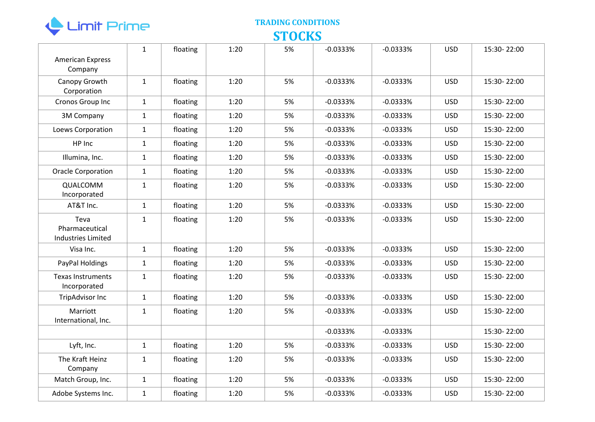

| <b>American Express</b><br>Company                  | $\mathbf{1}$ | floating | 1:20 | 5% | $-0.0333%$ | $-0.0333%$ | <b>USD</b> | 15:30-22:00 |
|-----------------------------------------------------|--------------|----------|------|----|------------|------------|------------|-------------|
| Canopy Growth<br>Corporation                        | $\mathbf{1}$ | floating | 1:20 | 5% | $-0.0333%$ | $-0.0333%$ | <b>USD</b> | 15:30-22:00 |
| Cronos Group Inc                                    | $\mathbf{1}$ | floating | 1:20 | 5% | $-0.0333%$ | $-0.0333%$ | <b>USD</b> | 15:30-22:00 |
| 3M Company                                          | $\mathbf{1}$ | floating | 1:20 | 5% | $-0.0333%$ | $-0.0333%$ | <b>USD</b> | 15:30-22:00 |
| Loews Corporation                                   | $\mathbf{1}$ | floating | 1:20 | 5% | $-0.0333%$ | $-0.0333%$ | <b>USD</b> | 15:30-22:00 |
| HP Inc                                              | $\mathbf{1}$ | floating | 1:20 | 5% | $-0.0333%$ | $-0.0333%$ | <b>USD</b> | 15:30-22:00 |
| Illumina, Inc.                                      | $\mathbf{1}$ | floating | 1:20 | 5% | $-0.0333%$ | $-0.0333%$ | <b>USD</b> | 15:30-22:00 |
| Oracle Corporation                                  | $\mathbf{1}$ | floating | 1:20 | 5% | $-0.0333%$ | $-0.0333%$ | <b>USD</b> | 15:30-22:00 |
| QUALCOMM<br>Incorporated                            | $\mathbf{1}$ | floating | 1:20 | 5% | $-0.0333%$ | $-0.0333%$ | <b>USD</b> | 15:30-22:00 |
| AT&T Inc.                                           | $\mathbf{1}$ | floating | 1:20 | 5% | $-0.0333%$ | $-0.0333%$ | <b>USD</b> | 15:30-22:00 |
| Teva<br>Pharmaceutical<br><b>Industries Limited</b> | $\mathbf{1}$ | floating | 1:20 | 5% | $-0.0333%$ | $-0.0333%$ | <b>USD</b> | 15:30-22:00 |
| Visa Inc.                                           | $\mathbf{1}$ | floating | 1:20 | 5% | $-0.0333%$ | $-0.0333%$ | <b>USD</b> | 15:30-22:00 |
| PayPal Holdings                                     | $\mathbf{1}$ | floating | 1:20 | 5% | $-0.0333%$ | $-0.0333%$ | <b>USD</b> | 15:30-22:00 |
| <b>Texas Instruments</b><br>Incorporated            | $\mathbf{1}$ | floating | 1:20 | 5% | $-0.0333%$ | $-0.0333%$ | <b>USD</b> | 15:30-22:00 |
| <b>TripAdvisor Inc</b>                              | $\mathbf{1}$ | floating | 1:20 | 5% | $-0.0333%$ | $-0.0333%$ | <b>USD</b> | 15:30-22:00 |
| Marriott<br>International, Inc.                     | $\mathbf{1}$ | floating | 1:20 | 5% | $-0.0333%$ | $-0.0333%$ | <b>USD</b> | 15:30-22:00 |
|                                                     |              |          |      |    | $-0.0333%$ | $-0.0333%$ |            | 15:30-22:00 |
| Lyft, Inc.                                          | $\mathbf{1}$ | floating | 1:20 | 5% | $-0.0333%$ | $-0.0333%$ | <b>USD</b> | 15:30-22:00 |
| The Kraft Heinz<br>Company                          | $\mathbf{1}$ | floating | 1:20 | 5% | $-0.0333%$ | $-0.0333%$ | <b>USD</b> | 15:30-22:00 |
| Match Group, Inc.                                   | $\mathbf{1}$ | floating | 1:20 | 5% | $-0.0333%$ | $-0.0333%$ | <b>USD</b> | 15:30-22:00 |
| Adobe Systems Inc.                                  | $\mathbf{1}$ | floating | 1:20 | 5% | $-0.0333%$ | $-0.0333%$ | <b>USD</b> | 15:30-22:00 |
|                                                     |              |          |      |    |            |            |            |             |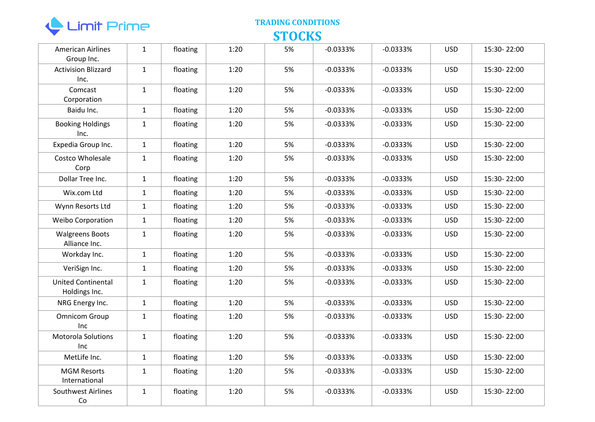

| <b>American Airlines</b><br>Group Inc.     | $\mathbf{1}$ | floating | 1:20 | 5% | $-0.0333%$ | $-0.0333%$ | <b>USD</b> | 15:30-22:00 |
|--------------------------------------------|--------------|----------|------|----|------------|------------|------------|-------------|
| <b>Activision Blizzard</b><br>Inc.         | $\mathbf{1}$ | floating | 1:20 | 5% | $-0.0333%$ | $-0.0333%$ | <b>USD</b> | 15:30-22:00 |
| Comcast<br>Corporation                     | $\mathbf{1}$ | floating | 1:20 | 5% | $-0.0333%$ | $-0.0333%$ | <b>USD</b> | 15:30-22:00 |
| Baidu Inc.                                 | $\mathbf{1}$ | floating | 1:20 | 5% | $-0.0333%$ | $-0.0333%$ | <b>USD</b> | 15:30-22:00 |
| <b>Booking Holdings</b><br>Inc.            | $\mathbf{1}$ | floating | 1:20 | 5% | $-0.0333%$ | $-0.0333%$ | <b>USD</b> | 15:30-22:00 |
| Expedia Group Inc.                         | $\mathbf{1}$ | floating | 1:20 | 5% | $-0.0333%$ | $-0.0333%$ | <b>USD</b> | 15:30-22:00 |
| Costco Wholesale<br>Corp                   | $\mathbf{1}$ | floating | 1:20 | 5% | $-0.0333%$ | $-0.0333%$ | <b>USD</b> | 15:30-22:00 |
| Dollar Tree Inc.                           | $\mathbf{1}$ | floating | 1:20 | 5% | $-0.0333%$ | $-0.0333%$ | <b>USD</b> | 15:30-22:00 |
| Wix.com Ltd                                | $\mathbf{1}$ | floating | 1:20 | 5% | $-0.0333%$ | $-0.0333%$ | <b>USD</b> | 15:30-22:00 |
| Wynn Resorts Ltd                           | $\mathbf{1}$ | floating | 1:20 | 5% | $-0.0333%$ | $-0.0333%$ | <b>USD</b> | 15:30-22:00 |
| <b>Weibo Corporation</b>                   | $\mathbf{1}$ | floating | 1:20 | 5% | $-0.0333%$ | $-0.0333%$ | <b>USD</b> | 15:30-22:00 |
| <b>Walgreens Boots</b><br>Alliance Inc.    | $\mathbf{1}$ | floating | 1:20 | 5% | $-0.0333%$ | $-0.0333%$ | <b>USD</b> | 15:30-22:00 |
| Workday Inc.                               | $\mathbf{1}$ | floating | 1:20 | 5% | $-0.0333%$ | $-0.0333%$ | <b>USD</b> | 15:30-22:00 |
| VeriSign Inc.                              | $\mathbf{1}$ | floating | 1:20 | 5% | $-0.0333%$ | $-0.0333%$ | <b>USD</b> | 15:30-22:00 |
| <b>United Continental</b><br>Holdings Inc. | $\mathbf{1}$ | floating | 1:20 | 5% | $-0.0333%$ | $-0.0333%$ | <b>USD</b> | 15:30-22:00 |
| NRG Energy Inc.                            | $\mathbf{1}$ | floating | 1:20 | 5% | $-0.0333%$ | $-0.0333%$ | <b>USD</b> | 15:30-22:00 |
| <b>Omnicom Group</b><br>Inc                | $\mathbf{1}$ | floating | 1:20 | 5% | $-0.0333%$ | $-0.0333%$ | <b>USD</b> | 15:30-22:00 |
| <b>Motorola Solutions</b><br><b>Inc</b>    | $\mathbf{1}$ | floating | 1:20 | 5% | $-0.0333%$ | $-0.0333%$ | <b>USD</b> | 15:30-22:00 |
| MetLife Inc.                               | $\mathbf{1}$ | floating | 1:20 | 5% | $-0.0333%$ | $-0.0333%$ | <b>USD</b> | 15:30-22:00 |
| <b>MGM Resorts</b><br>International        | $\mathbf{1}$ | floating | 1:20 | 5% | $-0.0333%$ | $-0.0333%$ | <b>USD</b> | 15:30-22:00 |
| Southwest Airlines<br>Co                   | $\mathbf{1}$ | floating | 1:20 | 5% | $-0.0333%$ | $-0.0333%$ | <b>USD</b> | 15:30-22:00 |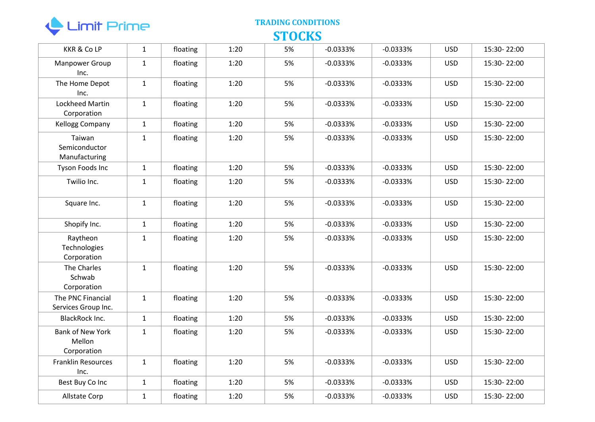

| <b>KKR &amp; Co LP</b>                           | $\mathbf{1}$ | floating | 1:20 | 5% | $-0.0333%$ | $-0.0333%$ | <b>USD</b> | 15:30-22:00 |
|--------------------------------------------------|--------------|----------|------|----|------------|------------|------------|-------------|
| Manpower Group<br>Inc.                           | $\mathbf{1}$ | floating | 1:20 | 5% | $-0.0333%$ | $-0.0333%$ | <b>USD</b> | 15:30-22:00 |
| The Home Depot<br>Inc.                           | $\mathbf{1}$ | floating | 1:20 | 5% | $-0.0333%$ | $-0.0333%$ | <b>USD</b> | 15:30-22:00 |
| Lockheed Martin<br>Corporation                   | $\mathbf{1}$ | floating | 1:20 | 5% | $-0.0333%$ | $-0.0333%$ | <b>USD</b> | 15:30-22:00 |
| <b>Kellogg Company</b>                           | $\mathbf{1}$ | floating | 1:20 | 5% | $-0.0333%$ | $-0.0333%$ | <b>USD</b> | 15:30-22:00 |
| Taiwan<br>Semiconductor<br>Manufacturing         | $\mathbf{1}$ | floating | 1:20 | 5% | $-0.0333%$ | $-0.0333%$ | <b>USD</b> | 15:30-22:00 |
| Tyson Foods Inc                                  | $\mathbf{1}$ | floating | 1:20 | 5% | $-0.0333%$ | $-0.0333%$ | <b>USD</b> | 15:30-22:00 |
| Twilio Inc.                                      | $\mathbf{1}$ | floating | 1:20 | 5% | $-0.0333%$ | $-0.0333%$ | <b>USD</b> | 15:30-22:00 |
| Square Inc.                                      | $\mathbf{1}$ | floating | 1:20 | 5% | $-0.0333%$ | $-0.0333%$ | <b>USD</b> | 15:30-22:00 |
| Shopify Inc.                                     | $\mathbf{1}$ | floating | 1:20 | 5% | $-0.0333%$ | $-0.0333%$ | <b>USD</b> | 15:30-22:00 |
| Raytheon<br>Technologies<br>Corporation          | $\mathbf{1}$ | floating | 1:20 | 5% | $-0.0333%$ | $-0.0333%$ | <b>USD</b> | 15:30-22:00 |
| The Charles<br>Schwab<br>Corporation             | $\mathbf{1}$ | floating | 1:20 | 5% | $-0.0333%$ | $-0.0333%$ | <b>USD</b> | 15:30-22:00 |
| The PNC Financial<br>Services Group Inc.         | $\mathbf{1}$ | floating | 1:20 | 5% | $-0.0333%$ | $-0.0333%$ | <b>USD</b> | 15:30-22:00 |
| BlackRock Inc.                                   | $\mathbf{1}$ | floating | 1:20 | 5% | $-0.0333%$ | $-0.0333%$ | <b>USD</b> | 15:30-22:00 |
| <b>Bank of New York</b><br>Mellon<br>Corporation | $\mathbf{1}$ | floating | 1:20 | 5% | $-0.0333%$ | $-0.0333%$ | <b>USD</b> | 15:30-22:00 |
| <b>Franklin Resources</b><br>Inc.                | $\mathbf{1}$ | floating | 1:20 | 5% | $-0.0333%$ | $-0.0333%$ | <b>USD</b> | 15:30-22:00 |
| Best Buy Co Inc                                  | $\mathbf{1}$ | floating | 1:20 | 5% | $-0.0333%$ | $-0.0333%$ | <b>USD</b> | 15:30-22:00 |
| Allstate Corp                                    | $\mathbf{1}$ | floating | 1:20 | 5% | $-0.0333%$ | $-0.0333%$ | <b>USD</b> | 15:30-22:00 |
|                                                  |              |          |      |    |            |            |            |             |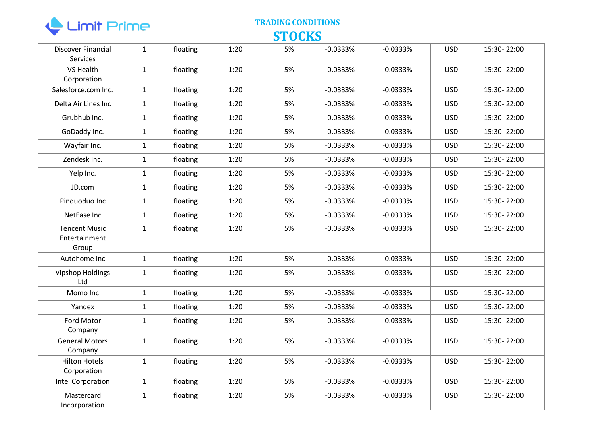

| Discover Financial<br><b>Services</b>          | $\mathbf{1}$ | floating | 1:20 | 5% | $-0.0333%$ | $-0.0333%$ | <b>USD</b> | 15:30-22:00 |
|------------------------------------------------|--------------|----------|------|----|------------|------------|------------|-------------|
| VS Health<br>Corporation                       | $\mathbf{1}$ | floating | 1:20 | 5% | $-0.0333%$ | $-0.0333%$ | <b>USD</b> | 15:30-22:00 |
| Salesforce.com Inc.                            | $\mathbf{1}$ | floating | 1:20 | 5% | $-0.0333%$ | $-0.0333%$ | <b>USD</b> | 15:30-22:00 |
| Delta Air Lines Inc                            | $\mathbf{1}$ | floating | 1:20 | 5% | $-0.0333%$ | $-0.0333%$ | <b>USD</b> | 15:30-22:00 |
| Grubhub Inc.                                   | $\mathbf{1}$ | floating | 1:20 | 5% | $-0.0333%$ | $-0.0333%$ | <b>USD</b> | 15:30-22:00 |
| GoDaddy Inc.                                   | $\mathbf{1}$ | floating | 1:20 | 5% | $-0.0333%$ | $-0.0333%$ | <b>USD</b> | 15:30-22:00 |
| Wayfair Inc.                                   | $\mathbf{1}$ | floating | 1:20 | 5% | $-0.0333%$ | $-0.0333%$ | <b>USD</b> | 15:30-22:00 |
| Zendesk Inc.                                   | $\mathbf{1}$ | floating | 1:20 | 5% | $-0.0333%$ | $-0.0333%$ | <b>USD</b> | 15:30-22:00 |
| Yelp Inc.                                      | $\mathbf{1}$ | floating | 1:20 | 5% | $-0.0333%$ | $-0.0333%$ | USD.       | 15:30-22:00 |
| JD.com                                         | $\mathbf{1}$ | floating | 1:20 | 5% | $-0.0333%$ | $-0.0333%$ | <b>USD</b> | 15:30-22:00 |
| Pinduoduo Inc                                  | $\mathbf{1}$ | floating | 1:20 | 5% | $-0.0333%$ | $-0.0333%$ | <b>USD</b> | 15:30-22:00 |
| NetEase Inc                                    | $\mathbf{1}$ | floating | 1:20 | 5% | $-0.0333%$ | $-0.0333%$ | <b>USD</b> | 15:30-22:00 |
| <b>Tencent Music</b><br>Entertainment<br>Group | $\mathbf{1}$ | floating | 1:20 | 5% | $-0.0333%$ | $-0.0333%$ | <b>USD</b> | 15:30-22:00 |
| Autohome Inc                                   | $\mathbf{1}$ | floating | 1:20 | 5% | $-0.0333%$ | $-0.0333%$ | <b>USD</b> | 15:30-22:00 |
| <b>Vipshop Holdings</b><br>Ltd                 | $\mathbf{1}$ | floating | 1:20 | 5% | $-0.0333%$ | $-0.0333%$ | <b>USD</b> | 15:30-22:00 |
| Momo Inc                                       | $\mathbf{1}$ | floating | 1:20 | 5% | $-0.0333%$ | $-0.0333%$ | <b>USD</b> | 15:30-22:00 |
| Yandex                                         | $\mathbf{1}$ | floating | 1:20 | 5% | $-0.0333%$ | $-0.0333%$ | <b>USD</b> | 15:30-22:00 |
| Ford Motor<br>Company                          | $\mathbf{1}$ | floating | 1:20 | 5% | $-0.0333%$ | $-0.0333%$ | <b>USD</b> | 15:30-22:00 |
| <b>General Motors</b><br>Company               | $\mathbf{1}$ | floating | 1:20 | 5% | $-0.0333%$ | $-0.0333%$ | <b>USD</b> | 15:30-22:00 |
| <b>Hilton Hotels</b><br>Corporation            | $\mathbf{1}$ | floating | 1:20 | 5% | $-0.0333%$ | $-0.0333%$ | <b>USD</b> | 15:30-22:00 |
| Intel Corporation                              | $\mathbf{1}$ | floating | 1:20 | 5% | $-0.0333%$ | $-0.0333%$ | <b>USD</b> | 15:30-22:00 |
| Mastercard<br>Incorporation                    | $\mathbf{1}$ | floating | 1:20 | 5% | $-0.0333%$ | $-0.0333%$ | <b>USD</b> | 15:30-22:00 |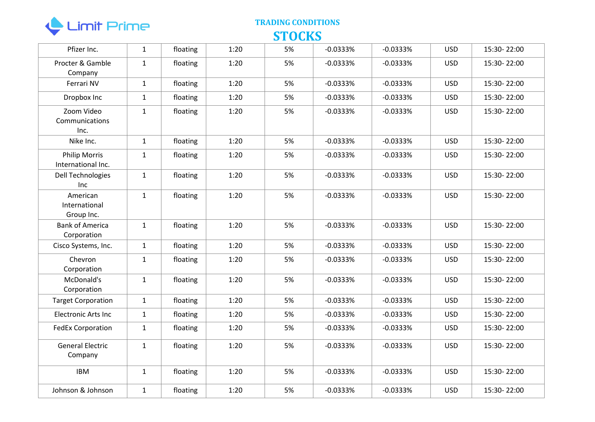

| Pfizer Inc.                                | $\mathbf{1}$ | floating | 1:20 | 5% | $-0.0333%$ | $-0.0333%$ | <b>USD</b> | 15:30-22:00 |
|--------------------------------------------|--------------|----------|------|----|------------|------------|------------|-------------|
| Procter & Gamble<br>Company                | $\mathbf{1}$ | floating | 1:20 | 5% | $-0.0333%$ | $-0.0333%$ | <b>USD</b> | 15:30-22:00 |
| Ferrari NV                                 | $\mathbf{1}$ | floating | 1:20 | 5% | $-0.0333%$ | $-0.0333%$ | <b>USD</b> | 15:30-22:00 |
| Dropbox Inc                                | $\mathbf{1}$ | floating | 1:20 | 5% | $-0.0333%$ | $-0.0333%$ | <b>USD</b> | 15:30-22:00 |
| Zoom Video<br>Communications<br>Inc.       | $\mathbf{1}$ | floating | 1:20 | 5% | $-0.0333%$ | $-0.0333%$ | <b>USD</b> | 15:30-22:00 |
| Nike Inc.                                  | $\mathbf{1}$ | floating | 1:20 | 5% | $-0.0333%$ | $-0.0333%$ | <b>USD</b> | 15:30-22:00 |
| <b>Philip Morris</b><br>International Inc. | $\mathbf{1}$ | floating | 1:20 | 5% | $-0.0333%$ | $-0.0333%$ | <b>USD</b> | 15:30-22:00 |
| Dell Technologies<br>Inc                   | $\mathbf{1}$ | floating | 1:20 | 5% | $-0.0333%$ | $-0.0333%$ | <b>USD</b> | 15:30-22:00 |
| American<br>International<br>Group Inc.    | $\mathbf{1}$ | floating | 1:20 | 5% | $-0.0333%$ | $-0.0333%$ | <b>USD</b> | 15:30-22:00 |
| <b>Bank of America</b><br>Corporation      | $\mathbf{1}$ | floating | 1:20 | 5% | $-0.0333%$ | $-0.0333%$ | <b>USD</b> | 15:30-22:00 |
| Cisco Systems, Inc.                        | $\mathbf{1}$ | floating | 1:20 | 5% | $-0.0333%$ | $-0.0333%$ | <b>USD</b> | 15:30-22:00 |
| Chevron<br>Corporation                     | $\mathbf{1}$ | floating | 1:20 | 5% | $-0.0333%$ | $-0.0333%$ | <b>USD</b> | 15:30-22:00 |
| McDonald's<br>Corporation                  | $\mathbf{1}$ | floating | 1:20 | 5% | $-0.0333%$ | $-0.0333%$ | <b>USD</b> | 15:30-22:00 |
| <b>Target Corporation</b>                  | $\mathbf{1}$ | floating | 1:20 | 5% | $-0.0333%$ | $-0.0333%$ | <b>USD</b> | 15:30-22:00 |
| <b>Electronic Arts Inc</b>                 | $\mathbf{1}$ | floating | 1:20 | 5% | $-0.0333%$ | $-0.0333%$ | <b>USD</b> | 15:30-22:00 |
| <b>FedEx Corporation</b>                   | $\mathbf{1}$ | floating | 1:20 | 5% | $-0.0333%$ | $-0.0333%$ | <b>USD</b> | 15:30-22:00 |
| <b>General Electric</b><br>Company         | $\mathbf{1}$ | floating | 1:20 | 5% | $-0.0333%$ | $-0.0333%$ | <b>USD</b> | 15:30-22:00 |
| <b>IBM</b>                                 | $\mathbf{1}$ | floating | 1:20 | 5% | $-0.0333%$ | $-0.0333%$ | <b>USD</b> | 15:30-22:00 |
| Johnson & Johnson                          | $\mathbf{1}$ | floating | 1:20 | 5% | $-0.0333%$ | $-0.0333%$ | <b>USD</b> | 15:30-22:00 |
|                                            |              |          |      |    |            |            |            |             |